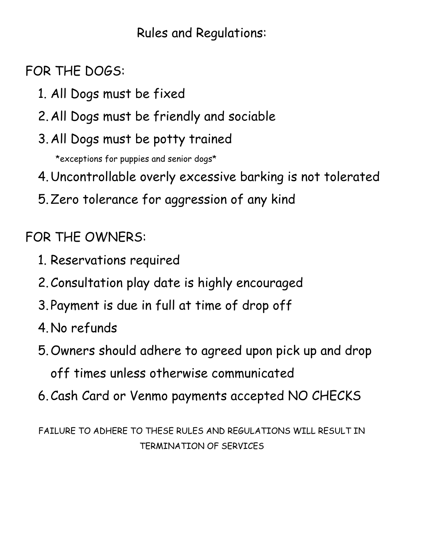## Rules and Regulations:

FOR THE DOGS:

- 1. All Dogs must be fixed
- 2.All Dogs must be friendly and sociable
- 3.All Dogs must be potty trained

\*exceptions for puppies and senior dogs\*

- 4.Uncontrollable overly excessive barking is not tolerated
- 5.Zero tolerance for aggression of any kind

FOR THE OWNERS:

- 1. Reservations required
- 2.Consultation play date is highly encouraged
- 3. Payment is due in full at time of drop off
- 4.No refunds
- 5.Owners should adhere to agreed upon pick up and drop off times unless otherwise communicated
- 6.Cash Card or Venmo payments accepted NO CHECKS

FAILURE TO ADHERE TO THESE RULES AND REGULATIONS WILL RESULT IN TERMINATION OF SERVICES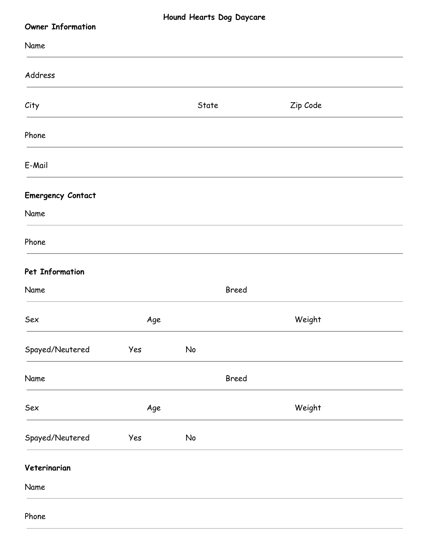| Hound Hearts Dog Daycare<br><b>Owner Information</b> |     |       |              |          |  |
|------------------------------------------------------|-----|-------|--------------|----------|--|
| Name                                                 |     |       |              |          |  |
| Address                                              |     |       |              |          |  |
| City                                                 |     | State |              | Zip Code |  |
| Phone                                                |     |       |              |          |  |
| E-Mail                                               |     |       |              |          |  |
| <b>Emergency Contact</b>                             |     |       |              |          |  |
| Name                                                 |     |       |              |          |  |
| Phone                                                |     |       |              |          |  |
| Pet Information                                      |     |       |              |          |  |
| Name                                                 |     |       | <b>Breed</b> |          |  |
| Sex                                                  | Age |       |              | Weight   |  |
| Spayed/Neutered                                      | Yes | No    |              |          |  |
| Name                                                 |     |       | Breed        |          |  |
| Sex                                                  | Age |       |              | Weight   |  |
| Spayed/Neutered                                      | Yes | No    |              |          |  |
| Veterinarian                                         |     |       |              |          |  |
| Name                                                 |     |       |              |          |  |
| Phone                                                |     |       |              |          |  |